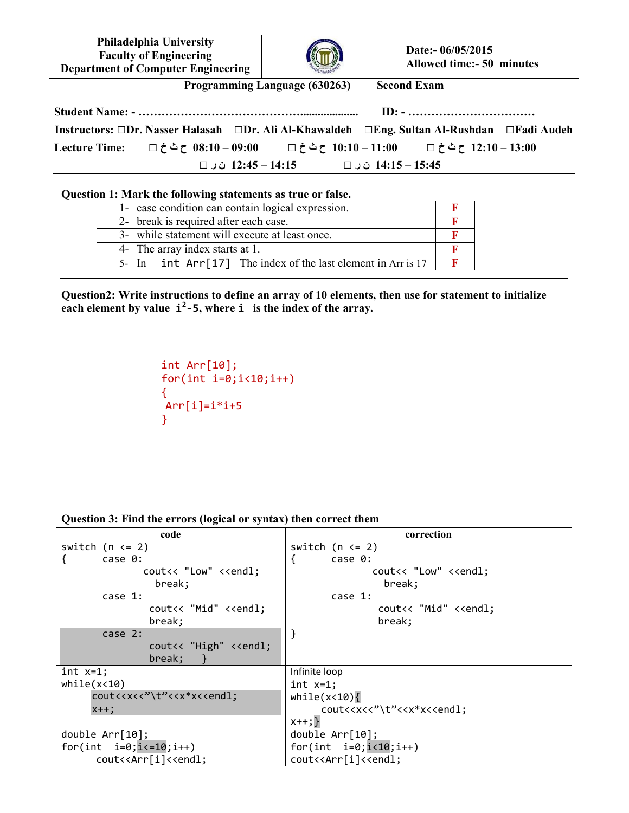**Philadelphia University Faculty of Engineering Department of Computer Engineering Date:- 06/05/2015 Allowed time:- 50 minutes Programming Language (630263) Second Exam Student Name: - …………………………………….................... ID: - …………………………… Instructors: □Dr. Nasser Halasah □Dr. Ali Al-Khawaldeh □Eng. Sultan Al-Rushdan □Fadi Audeh 13:00 – 12:10 ح ث خ □ 11:00 – 10:10 ح ث خ □ 09:00 – 08:10 ح ث خ □ :Time Lecture 15:45 – 14:15 ن ر □ 14:15 – 12:45 ن ر □** 

## **Question 1: Mark the following statements as true or false.**

| 1- case condition can contain logical expression.              |  |
|----------------------------------------------------------------|--|
| 2- break is required after each case.                          |  |
| 3- while statement will execute at least once.                 |  |
| 4- The array index starts at 1.                                |  |
| 5- In $int Arr[17]$ The index of the last element in Arr is 17 |  |

**Question2: Write instructions to define an array of 10 elements, then use for statement to initialize cach element by value**  $\mathbf{i}^2$ **-5, where**  $\mathbf{i}$  **is the index of the array.** 

```
int Arr[10]; 
for(int i=0; i<10; i++){ 
Arr[i]=i*i+5}
```
**Question 3: Find the errors (logical or syntax) then correct them** 

| code                                                                                                  | correction                                                |
|-------------------------------------------------------------------------------------------------------|-----------------------------------------------------------|
| switch $(n \leq 2)$                                                                                   | switch $(n \leq 2)$                                       |
| case 0:                                                                                               | ſ<br>case 0:                                              |
| cout<< "Low" < <endl;< td=""><td>cout&lt;&lt; "Low" &lt;<endl;< td=""></endl;<></td></endl;<>         | cout<< "Low" < <endl;< td=""></endl;<>                    |
| break;                                                                                                | break;                                                    |
| case 1:                                                                                               | case $1$ :                                                |
| cout<< "Mid" < <endl;< td=""><td>cout&lt;&lt; "Mid" &lt;<endl;< td=""></endl;<></td></endl;<>         | cout<< "Mid" < <endl;< td=""></endl;<>                    |
| break;                                                                                                | break;                                                    |
| case 2:                                                                                               | }                                                         |
| cout<< "High" < <endl;< td=""><td></td></endl;<>                                                      |                                                           |
| break;                                                                                                |                                                           |
| int $x=1$ ;                                                                                           | Infinite loop                                             |
| while(x<10)                                                                                           | int $x=1$ ;                                               |
| cout< <x<<"\t"<<x*x<<endl;< td=""><td>while<math>(x&lt;10)</math></td></x<<"\t"<<x*x<<endl;<>         | while $(x<10)$                                            |
| $x++$ ;                                                                                               | cout< <x<<"\t"<<x*x<<endl;< td=""></x<<"\t"<<x*x<<endl;<> |
|                                                                                                       | $x++;}$                                                   |
| double $Arr[10]$ ;                                                                                    | double $Arr[10]$ ;                                        |
| for(int $i=0; i<=10; i++)$                                                                            | for(int $i=0; i<10; i++)$                                 |
| cout< <arr[i]<<endl;< td=""><td>cout&lt;<arr[i]<<endl;< td=""></arr[i]<<endl;<></td></arr[i]<<endl;<> | cout< <arr[i]<<endl;< td=""></arr[i]<<endl;<>             |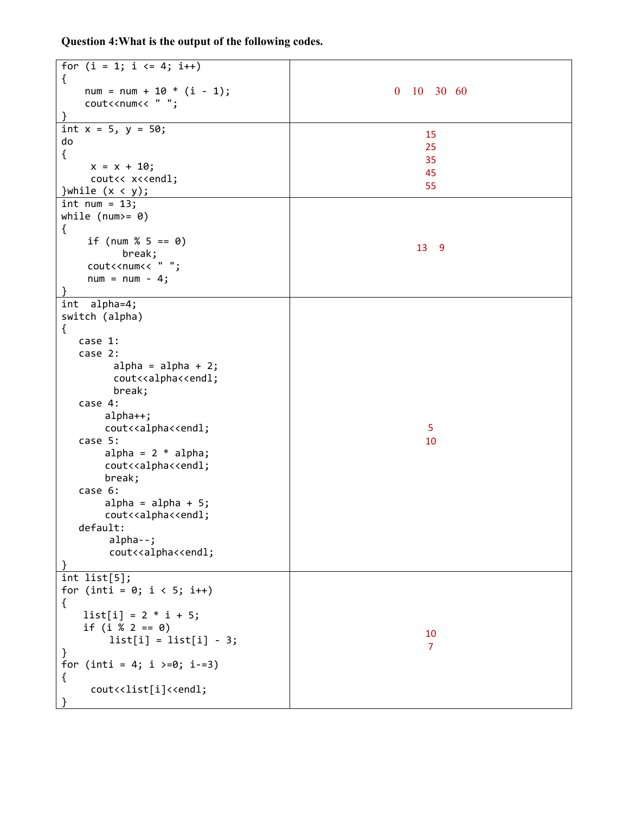**Question 4:What is the output of the following codes.** 

| for $(i = 1; i \le 4; i++)$                                |                |
|------------------------------------------------------------|----------------|
| $\{$<br>$num = num + 10 * (i - 1);$                        | $0$ 10 30 60   |
| cout< <num<< "="" ";<="" td=""><td></td></num<<>           |                |
| }                                                          |                |
| int $x = 5$ , $y = 50$ ;                                   |                |
| do                                                         | 15             |
| $\{$                                                       | 25             |
| $x = x + 10;$                                              | 35<br>45       |
| cout<< x< <endl;< td=""><td>55</td></endl;<>               | 55             |
| }while $(x < y)$ ;                                         |                |
| $int num = 13;$                                            |                |
| while $(num>= 0)$                                          |                |
| €                                                          |                |
| if (num $% 5 == 0$ )                                       | 13 9           |
| break;<br>cout< <num<< "="" ";<="" td=""><td></td></num<<> |                |
| $num = num - 4;$                                           |                |
|                                                            |                |
| int alpha=4;                                               |                |
| switch (alpha)                                             |                |
| $\{$                                                       |                |
| case 1:                                                    |                |
| case 2:                                                    |                |
| $alpha = alpha + 2;$                                       |                |
| cout< <alpha<<endl;< td=""><td></td></alpha<<endl;<>       |                |
| break;                                                     |                |
| case $4:$                                                  |                |
| $alpha++;$                                                 | 5              |
| cout< <alpha<<endl;<br>case 5:</alpha<<endl;<br>           | 10             |
| alpha = $2 * alpha;$                                       |                |
| cout< <alpha<<endl;< td=""><td></td></alpha<<endl;<>       |                |
| break;                                                     |                |
| case 6:                                                    |                |
| $alpha = alpha + 5;$                                       |                |
| cout< <alpha<<endl;< td=""><td></td></alpha<<endl;<>       |                |
| default:                                                   |                |
| $alpha - -$ ;                                              |                |
| cout< <alpha<<endl;< td=""><td></td></alpha<<endl;<>       |                |
|                                                            |                |
| int list[5];                                               |                |
| for (inti = $0; i < 5; i++)$                               |                |
| €<br>$list[i] = 2 * i + 5;$                                |                |
| if $(i % 2 == 0)$                                          |                |
| $list[i] = list[i] - 3;$                                   | 10             |
| }                                                          | $\overline{7}$ |
| for (inti = 4; i >=0; i-=3)                                |                |
| €                                                          |                |
| cout< <list[i]<<endl;< td=""><td></td></list[i]<<endl;<>   |                |
|                                                            |                |